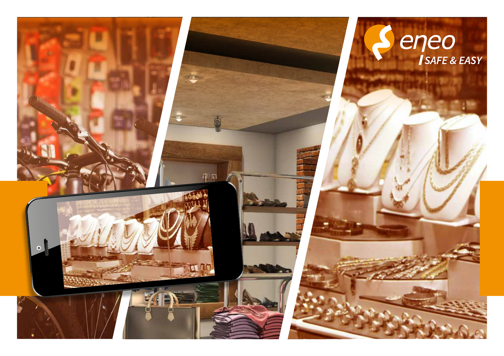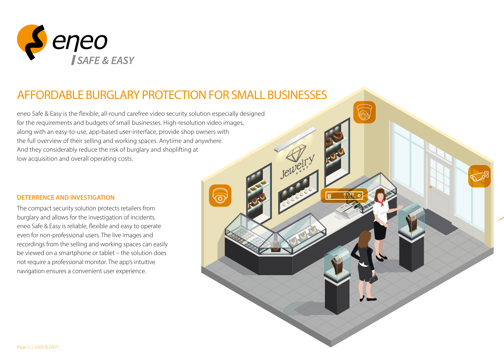

# AFFORDABLE BURGLARY PROTECTION FOR SMALL BUSINESSES

eneo Safe & Easy is the flexible, all-round carefree video security solution especially designed for the requirements and budgets of small businesses. High-resolution video images, along with an easy-to-use, app-based user-interface, provide shop owners with the full overview of their selling and working spaces. Anytime and anywhere. And they considerably reduce the risk of burglary and shoplifting at low acquisition and overall operating costs.

#### **DETERRENCE AND INVESTIGATION**

The compact security solution protects retailers from burglary and allows for the investigation of incidents. eneo Safe & Easy is reliable, flexible and easy to operate even for non-professional users. The live images and recordings from the selling and working spaces can easily be viewed on a smartphone or tablet – the solution does not require a professional monitor. The app's intuitive navigation ensures a convenient user experience.

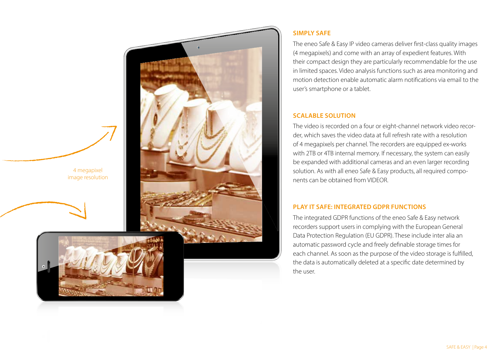4 megapixel image resolution





## **SIMPLY SAFE**

The eneo Safe & Easy IP video cameras deliver first-class quality images (4 megapixels) and come with an array of expedient features. With their compact design they are particularly recommendable for the use in limited spaces. Video analysis functions such as area monitoring and motion detection enable automatic alarm notifications via email to the user's smartphone or a tablet.

#### **SCALABLE SOLUTION**

The video is recorded on a four or eight-channel network video recorder, which saves the video data at full refresh rate with a resolution of 4 megapixels per channel. The recorders are equipped ex-works with 2TB or 4TB internal memory. If necessary, the system can easily be expanded with additional cameras and an even larger recording solution. As with all eneo Safe & Easy products, all required components can be obtained from VIDEOR.

### **PLAY IT SAFE: INTEGRATED GDPR FUNCTIONS**

The integrated GDPR functions of the eneo Safe & Easy network recorders support users in complying with the European General Data Protection Regulation (EU GDPR). These include inter alia an automatic password cycle and freely definable storage times for each channel. As soon as the purpose of the video storage is fulfilled, the data is automatically deleted at a specific date determined by the user.